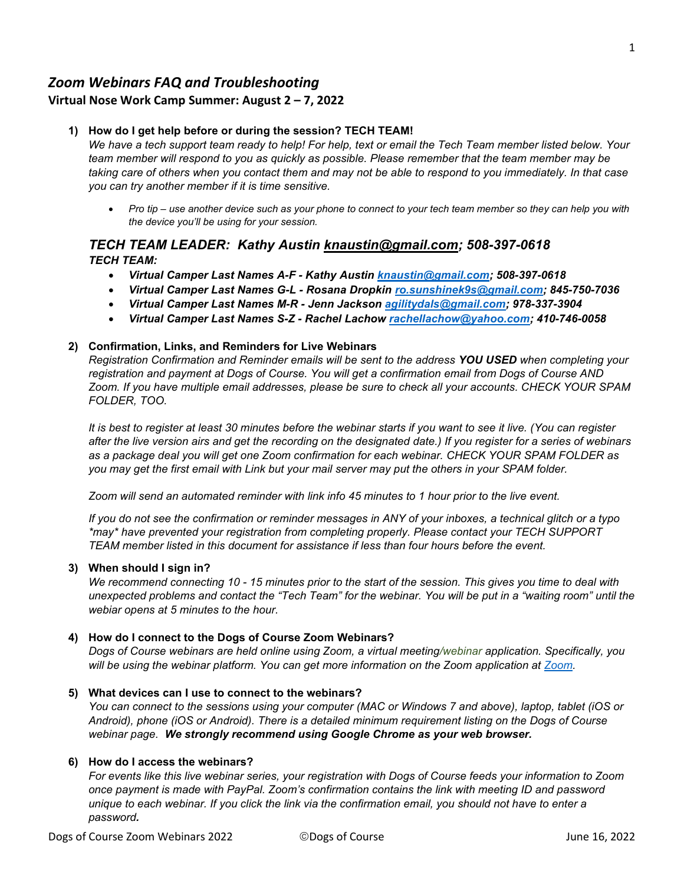# *Zoom Webinars FAQ and Troubleshooting*

## **Virtual Nose Work Camp Summer: August 2 – 7, 2022**

## **1) How do I get help before or during the session? TECH TEAM!**

*We have a tech support team ready to help! For help, text or email the Tech Team member listed below. Your team member will respond to you as quickly as possible. Please remember that the team member may be taking care of others when you contact them and may not be able to respond to you immediately. In that case you can try another member if it is time sensitive.*

• *Pro tip – use another device such as your phone to connect to your tech team member so they can help you with the device you'll be using for your session.* 

## *TECH TEAM LEADER: Kathy Austin [knaustin@gmail.com;](mailto:knaustin@gmail.com?subject=VNWC%20Tech%20Team%20Help) 508-397-0618 TECH TEAM:*

- *Virtual Camper Last Names A-F Kathy Austin [knaustin@gmail.com;](mailto:knaustin@gmail.com?subject=VNWC%20Tech%20Team%20Help) 508-397-0618*
- *Virtual Camper Last Names G-L Rosana Dropkin [ro.sunshinek9s@gmail.com;](mailto:ro.sunshinek9s@gmail.com?subject=VNWC%20Tech%20Team%20Help) 845-750-7036*
- *Virtual Camper Last Names M-R Jenn Jackson [agilitydals@gmail.com;](mailto:agilitydals@gmail.com?subject=VNWC%20Tech%20Team%20Help) 978-337-3904*
- *Virtual Camper Last Names S-Z Rachel Lachow [rachellachow@yahoo.com;](mailto:rachellachow@yahoo.com?subject=VNWC%20Tech%20Team%20Help) 410-746-0058*

## **2) Confirmation, Links, and Reminders for Live Webinars**

*Registration Confirmation and Reminder emails will be sent to the address YOU USED when completing your registration and payment at Dogs of Course. You will get a confirmation email from Dogs of Course AND Zoom. If you have multiple email addresses, please be sure to check all your accounts. CHECK YOUR SPAM FOLDER, TOO.*

*It is best to register at least 30 minutes before the webinar starts if you want to see it live. (You can register after the live version airs and get the recording on the designated date.) If you register for a series of webinars as a package deal you will get one Zoom confirmation for each webinar. CHECK YOUR SPAM FOLDER as you may get the first email with Link but your mail server may put the others in your SPAM folder.*

*Zoom will send an automated reminder with link info 45 minutes to 1 hour prior to the live event.* 

*If you do not see the confirmation or reminder messages in ANY of your inboxes, a technical glitch or a typo \*may\* have prevented your registration from completing properly. Please contact your TECH SUPPORT TEAM member listed in this document for assistance if less than four hours before the event.*

## **3) When should I sign in?**

*We recommend connecting 10 - 15 minutes prior to the start of the session. This gives you time to deal with unexpected problems and contact the "Tech Team" for the webinar. You will be put in a "waiting room" until the webiar opens at 5 minutes to the hour.*

## **4) How do I connect to the Dogs of Course Zoom Webinars?**

*Dogs of Course webinars are held online using Zoom, a virtual meeting/webinar application. Specifically, you will be using the webinar platform. You can get more information on the Zoom application at [Zoom.](https://zoom.us/)* 

## **5) What devices can I use to connect to the webinars?**

*You can connect to the sessions using your computer (MAC or Windows 7 and above), laptop, tablet (iOS or Android), phone (iOS or Android). There is a detailed minimum requirement listing on the Dogs of Course webinar page. We strongly recommend using Google Chrome as your web browser.*

## **6) How do I access the webinars?**

*For events like this live webinar series, your registration with Dogs of Course feeds your information to Zoom once payment is made with PayPal. Zoom's confirmation contains the link with meeting ID and password unique to each webinar. If you click the link via the confirmation email, you should not have to enter a password.*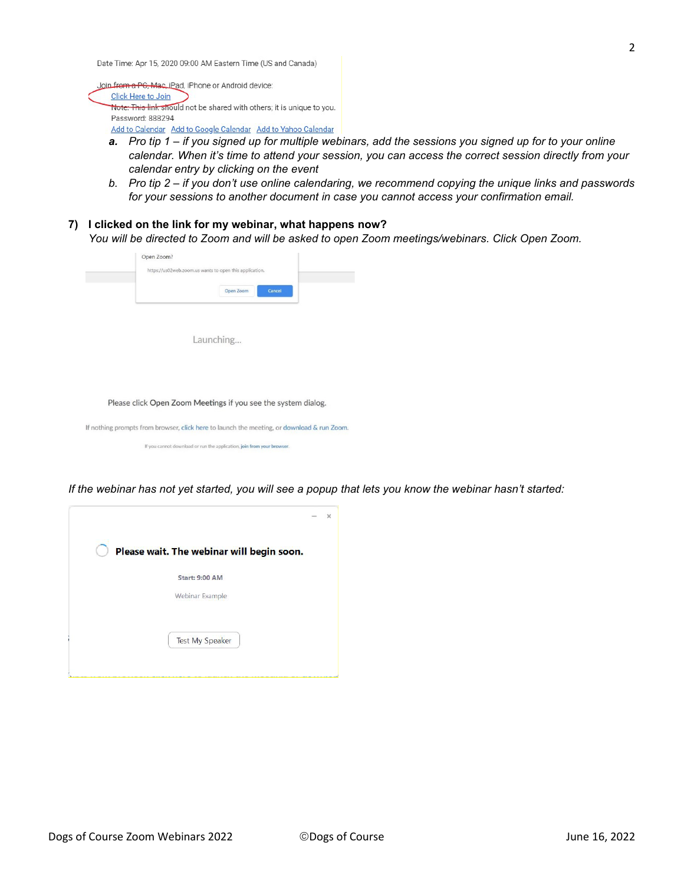Date Time: Apr 15, 2020 09:00 AM Eastern Time (US and Canada)

Join from a PG, Mac, iPad, iPhone or Android device: Click Here to Join Note: This link should not be shared with others; it is unique to you. Password: 888294 Add to Calendar Add to Google Calendar Add to Yahoo Calendar

- *a. Pro tip 1 if you signed up for multiple webinars, add the sessions you signed up for to your online calendar. When it's time to attend your session, you can access the correct session directly from your calendar entry by clicking on the event*
- *b. Pro tip 2 if you don't use online calendaring, we recommend copying the unique links and passwords for your sessions to another document in case you cannot access your confirmation email.*
- **7) I clicked on the link for my webinar, what happens now?** *You will be directed to Zoom and will be asked to open Zoom meetings/webinars. Click Open Zoom.*

| https://us02web.zoom.us wants to open this application. |        |
|---------------------------------------------------------|--------|
| Open Zoom                                               | Cancel |
|                                                         |        |

Launching...

Please click Open Zoom Meetings if you see the system dialog.

If nothing prompts from browser, click here to launch the meeting, or download & run Zoom.

If you cannot download or run the application, join from your browser.

*If the webinar has not yet started, you will see a popup that lets you know the webinar hasn't started:*

|                                           | $\times$<br>$\sim$ |
|-------------------------------------------|--------------------|
| Please wait. The webinar will begin soon. |                    |
| <b>Start: 9:00 AM</b>                     |                    |
| Webinar Example                           |                    |
|                                           |                    |
| <b>Test My Speaker</b>                    |                    |
|                                           |                    |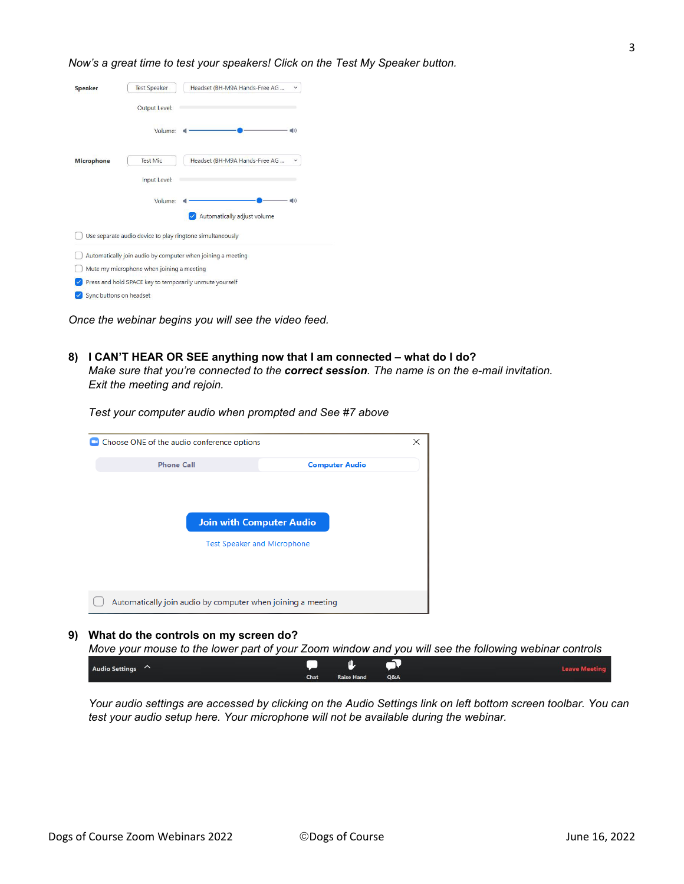#### *Now's a great time to test your speakers! Click on the Test My Speaker button.*

| <b>Speaker</b>          | <b>Test Speaker</b>                       | Headset (BH-M9A Hands-Free AG                               | $\checkmark$   |
|-------------------------|-------------------------------------------|-------------------------------------------------------------|----------------|
|                         | <b>Output Level:</b>                      |                                                             |                |
|                         | Volume:                                   |                                                             | $\blacksquare$ |
| <b>Microphone</b>       | <b>Test Mic</b>                           | Headset (BH-M9A Hands-Free AG                               | $\checkmark$   |
|                         | Input Level:                              |                                                             |                |
|                         | Volume:                                   |                                                             | <b>((b)</b>    |
|                         |                                           | Automatically adjust volume                                 |                |
|                         |                                           | Use separate audio device to play ringtone simultaneously   |                |
|                         |                                           | Automatically join audio by computer when joining a meeting |                |
|                         | Mute my microphone when joining a meeting |                                                             |                |
|                         |                                           | Press and hold SPACE key to temporarily unmute yourself     |                |
| Sync buttons on headset |                                           |                                                             |                |

*Once the webinar begins you will see the video feed.*

**8) I CAN'T HEAR OR SEE anything now that I am connected – what do I do?**  *Make sure that you're connected to the correct session. The name is on the e-mail invitation. Exit the meeting and rejoin.*

*Test your computer audio when prompted and See #7 above*

| Choose ONE of the audio conference options                  |                                 |  |  |  |  |  |
|-------------------------------------------------------------|---------------------------------|--|--|--|--|--|
| <b>Phone Call</b>                                           | <b>Computer Audio</b>           |  |  |  |  |  |
|                                                             |                                 |  |  |  |  |  |
|                                                             |                                 |  |  |  |  |  |
|                                                             |                                 |  |  |  |  |  |
|                                                             | <b>Join with Computer Audio</b> |  |  |  |  |  |
| <b>Test Speaker and Microphone</b>                          |                                 |  |  |  |  |  |
|                                                             |                                 |  |  |  |  |  |
|                                                             |                                 |  |  |  |  |  |
|                                                             |                                 |  |  |  |  |  |
| Automatically join audio by computer when joining a meeting |                                 |  |  |  |  |  |
|                                                             |                                 |  |  |  |  |  |

#### **9) What do the controls on my screen do?**

*Move your mouse to the lower part of your Zoom window and you will see the following webinar controls*

| Audio Settings $\sim$ |      | $\blacksquare$ |  | <b>Leave Meeting</b> |
|-----------------------|------|----------------|--|----------------------|
|                       | Chat | Raise Hand Q&A |  |                      |

*Your audio settings are accessed by clicking on the Audio Settings link on left bottom screen toolbar. You can test your audio setup here. Your microphone will not be available during the webinar.*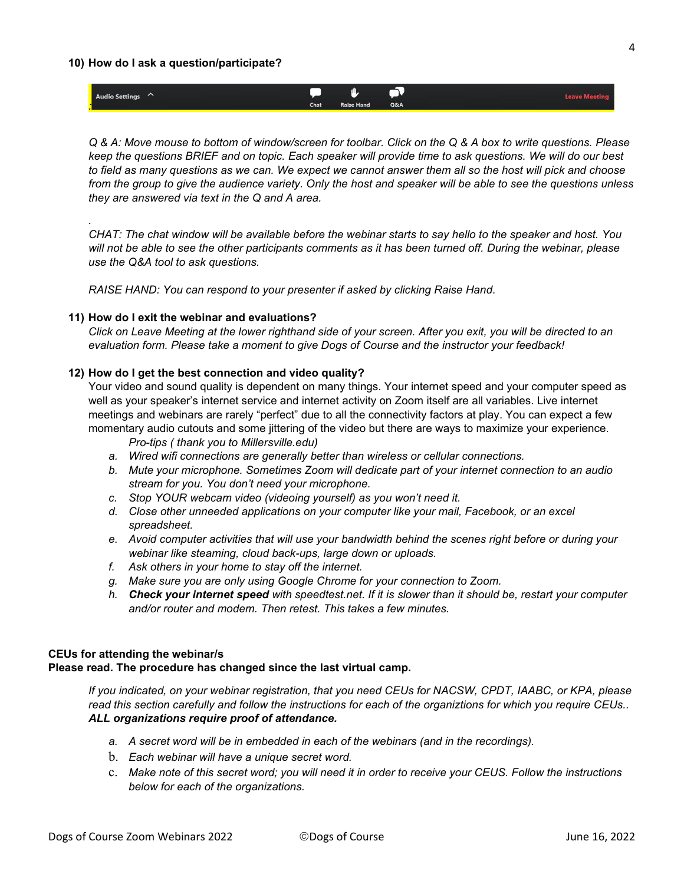#### **10) How do I ask a question/participate?**

*.* 

| Audio Settings $\curvearrowright$ | 心<br><b>Contract</b><br>л. |                   |     |  |
|-----------------------------------|----------------------------|-------------------|-----|--|
|                                   | Chat                       | <b>Raise Hand</b> | Q&A |  |
|                                   |                            |                   |     |  |

*Q & A: Move mouse to bottom of window/screen for toolbar. Click on the Q & A box to write questions. Please keep the questions BRIEF and on topic. Each speaker will provide time to ask questions. We will do our best to field as many questions as we can. We expect we cannot answer them all so the host will pick and choose from the group to give the audience variety. Only the host and speaker will be able to see the questions unless they are answered via text in the Q and A area.*

*CHAT: The chat window will be available before the webinar starts to say hello to the speaker and host. You will not be able to see the other participants comments as it has been turned off. During the webinar, please use the Q&A tool to ask questions.* 

*RAISE HAND: You can respond to your presenter if asked by clicking Raise Hand.*

#### **11) How do I exit the webinar and evaluations?**

*Click on Leave Meeting at the lower righthand side of your screen. After you exit, you will be directed to an evaluation form. Please take a moment to give Dogs of Course and the instructor your feedback!*

#### **12) How do I get the best connection and video quality?**

Your video and sound quality is dependent on many things. Your internet speed and your computer speed as well as your speaker's internet service and internet activity on Zoom itself are all variables. Live internet meetings and webinars are rarely "perfect" due to all the connectivity factors at play. You can expect a few momentary audio cutouts and some jittering of the video but there are ways to maximize your experience.

*Pro-tips ( thank you to Millersville.edu)*

- *a. Wired wifi connections are generally better than wireless or cellular connections.*
- *b. Mute your microphone. Sometimes Zoom will dedicate part of your internet connection to an audio stream for you. You don't need your microphone.*
- *c. Stop YOUR webcam video (videoing yourself) as you won't need it.*
- *d. Close other unneeded applications on your computer like your mail, Facebook, or an excel spreadsheet.*
- *e. Avoid computer activities that will use your bandwidth behind the scenes right before or during your webinar like steaming, cloud back-ups, large down or uploads.*
- *f. Ask others in your home to stay off the internet.*
- *g. Make sure you are only using Google Chrome for your connection to Zoom.*
- *h. Check your internet speed with speedtest.net. If it is slower than it should be, restart your computer and/or router and modem. Then retest. This takes a few minutes.*

## **CEUs for attending the webinar/s**

#### **Please read. The procedure has changed since the last virtual camp.**

*If you indicated, on your webinar registration, that you need CEUs for NACSW, CPDT, IAABC, or KPA, please read this section carefully and follow the instructions for each of the organiztions for which you require CEUs.. ALL organizations require proof of attendance.* 

- *a. A secret word will be in embedded in each of the webinars (and in the recordings).*
- b. *Each webinar will have a unique secret word.*
- c. *Make note of this secret word; you will need it in order to receive your CEUS. Follow the instructions below for each of the organizations.*